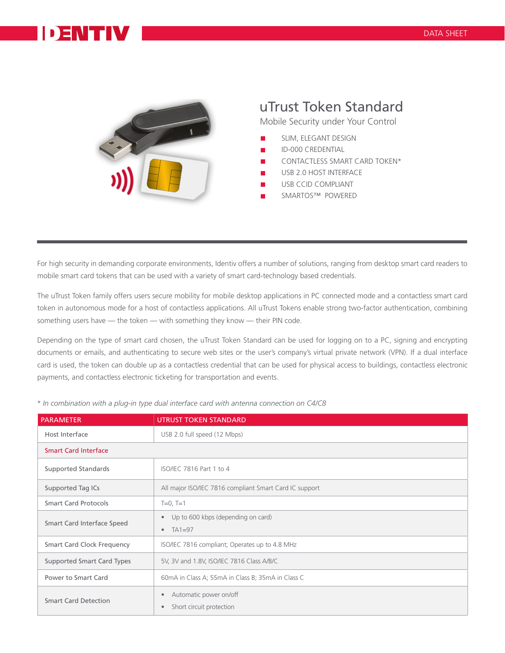## **DENTIV**



## uTrust Token Standard

Mobile Security under Your Control

- SLIM, ELEGANT DESIGN
- ID-000 CREDENTIAL
- CONTACTLESS SMART CARD TOKEN\*
- USB 2.0 HOST INTERFACE
- USB CCID COMPLIANT
- SMARTOS™ POWERED

For high security in demanding corporate environments, Identiv offers a number of solutions, ranging from desktop smart card readers to mobile smart card tokens that can be used with a variety of smart card-technology based credentials.

The uTrust Token family offers users secure mobility for mobile desktop applications in PC connected mode and a contactless smart card token in autonomous mode for a host of contactless applications. All uTrust Tokens enable strong two-factor authentication, combining something users have — the token — with something they know — their PIN code.

Depending on the type of smart card chosen, the uTrust Token Standard can be used for logging on to a PC, signing and encrypting documents or emails, and authenticating to secure web sites or the user's company's virtual private network (VPN). If a dual interface card is used, the token can double up as a contactless credential that can be used for physical access to buildings, contactless electronic payments, and contactless electronic ticketing for transportation and events.

| <b>PARAMETER</b>                  | <b>UTRUST TOKEN STANDARD</b>                                             |
|-----------------------------------|--------------------------------------------------------------------------|
| Host Interface                    | USB 2.0 full speed (12 Mbps)                                             |
| <b>Smart Card Interface</b>       |                                                                          |
| <b>Supported Standards</b>        | ISO/IEC 7816 Part 1 to 4                                                 |
| Supported Tag ICs                 | All major ISO/IEC 7816 compliant Smart Card IC support                   |
| <b>Smart Card Protocols</b>       | $T=0, T=1$                                                               |
| Smart Card Interface Speed        | Up to 600 kbps (depending on card)<br>$\bullet$<br>$TA1=97$<br>$\bullet$ |
| <b>Smart Card Clock Frequency</b> | ISO/IEC 7816 compliant; Operates up to 4.8 MHz                           |
| <b>Supported Smart Card Types</b> | 5V, 3V and 1.8V, ISO/IEC 7816 Class A/B/C                                |
| Power to Smart Card               | 60mA in Class A; 55mA in Class B; 35mA in Class C                        |
| <b>Smart Card Detection</b>       | Automatic power on/off<br>Short circuit protection<br>$\bullet$          |

*\* In combination with a plug-in type dual interface card with antenna connection on C4/C8*